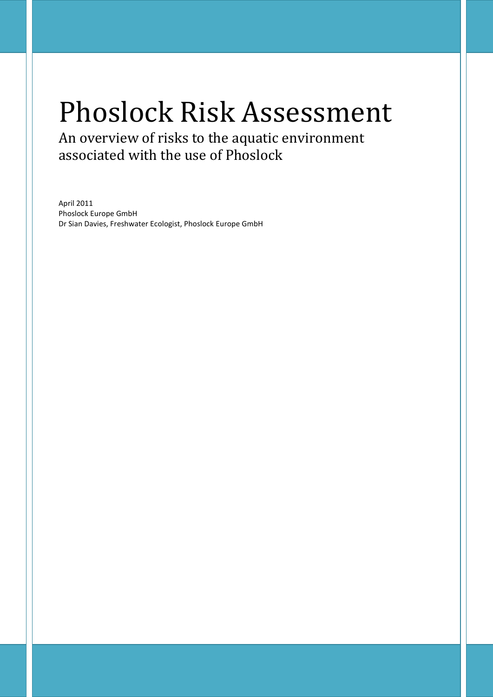# Phoslock Risk Assessment

An overview of risks to the aquatic environment associated with the use of Phoslock

April 2011 Phoslock Europe GmbH Dr Sian Davies, Freshwater Ecologist, Phoslock Europe GmbH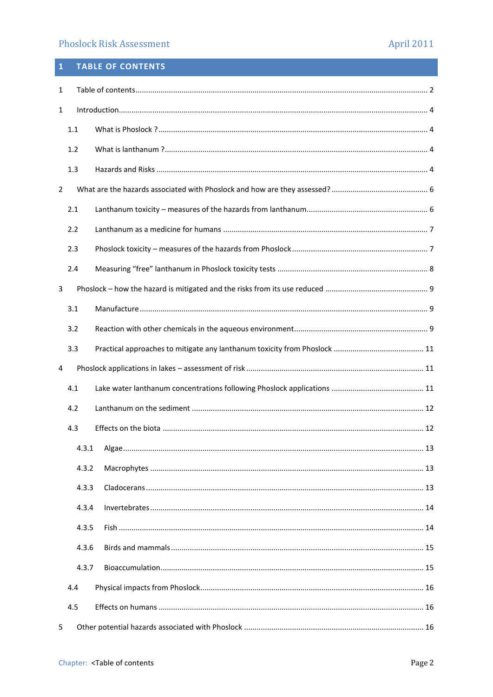# **Phoslock Risk Assessment**

# <span id="page-1-0"></span>1 TABLE OF CONTENTS

| 1              |       |  |  |  |  |  |
|----------------|-------|--|--|--|--|--|
| 1              |       |  |  |  |  |  |
|                | 1.1   |  |  |  |  |  |
|                | 1.2   |  |  |  |  |  |
|                | 1.3   |  |  |  |  |  |
| $\overline{2}$ |       |  |  |  |  |  |
|                | 2.1   |  |  |  |  |  |
|                | 2.2   |  |  |  |  |  |
|                | 2.3   |  |  |  |  |  |
|                | 2.4   |  |  |  |  |  |
| 3              |       |  |  |  |  |  |
|                | 3.1   |  |  |  |  |  |
|                | 3.2   |  |  |  |  |  |
|                | 3.3   |  |  |  |  |  |
| 4              |       |  |  |  |  |  |
|                | 4.1   |  |  |  |  |  |
|                | 4.2   |  |  |  |  |  |
|                |       |  |  |  |  |  |
|                | 4.3   |  |  |  |  |  |
|                | 4.3.1 |  |  |  |  |  |
|                | 4.3.2 |  |  |  |  |  |
|                | 4.3.3 |  |  |  |  |  |
|                | 4.3.4 |  |  |  |  |  |
|                | 4.3.5 |  |  |  |  |  |
|                | 4.3.6 |  |  |  |  |  |
|                | 4.3.7 |  |  |  |  |  |
|                | 4.4   |  |  |  |  |  |
|                | 4.5   |  |  |  |  |  |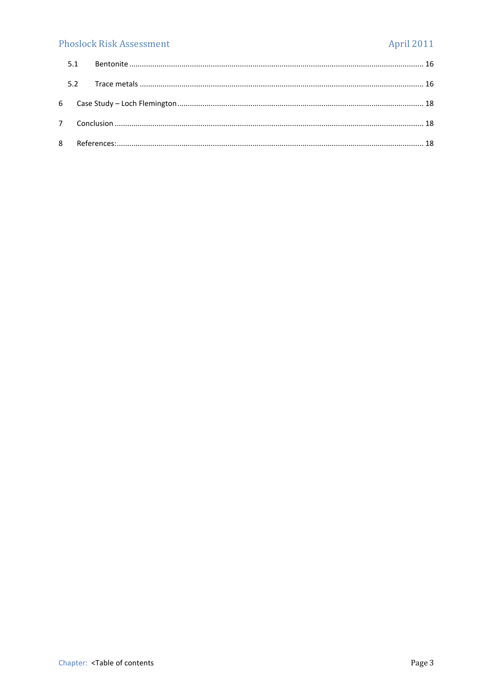# **Phoslock Risk Assessment**

# **April 2011**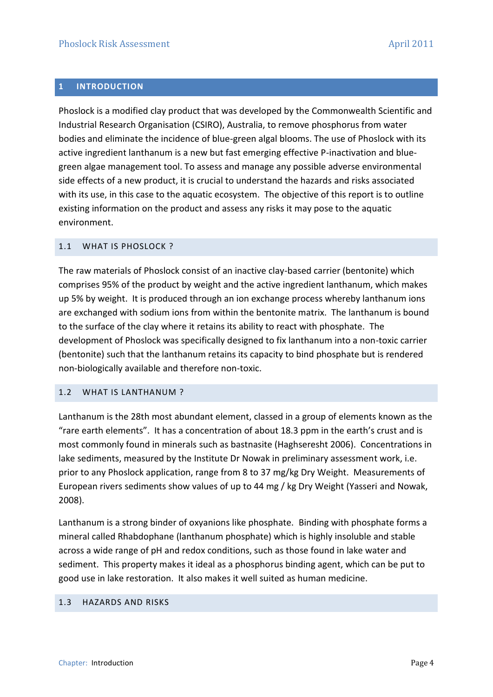# <span id="page-3-0"></span>**1 INTRODUCTION**

Phoslock is a modified clay product that was developed by the Commonwealth Scientific and Industrial Research Organisation (CSIRO), Australia, to remove phosphorus from water bodies and eliminate the incidence of blue-green algal blooms. The use of Phoslock with its active ingredient lanthanum is a new but fast emerging effective P-inactivation and bluegreen algae management tool. To assess and manage any possible adverse environmental side effects of a new product, it is crucial to understand the hazards and risks associated with its use, in this case to the aquatic ecosystem. The objective of this report is to outline existing information on the product and assess any risks it may pose to the aquatic environment.

#### <span id="page-3-1"></span>1.1 WHAT IS PHOSLOCK ?

The raw materials of Phoslock consist of an inactive clay-based carrier (bentonite) which comprises 95% of the product by weight and the active ingredient lanthanum, which makes up 5% by weight. It is produced through an ion exchange process whereby lanthanum ions are exchanged with sodium ions from within the bentonite matrix. The lanthanum is bound to the surface of the clay where it retains its ability to react with phosphate. The development of Phoslock was specifically designed to fix lanthanum into a non-toxic carrier (bentonite) such that the lanthanum retains its capacity to bind phosphate but is rendered non-biologically available and therefore non-toxic.

#### <span id="page-3-2"></span>1.2 WHAT IS LANTHANUM ?

Lanthanum is the 28th most abundant element, classed in a group of elements known as the "rare earth elements". It has a concentration of about 18.3 ppm in the earth's crust and is most commonly found in minerals such as bastnasite (Haghseresht 2006). Concentrations in lake sediments, measured by the Institute Dr Nowak in preliminary assessment work, i.e. prior to any Phoslock application, range from 8 to 37 mg/kg Dry Weight. Measurements of European rivers sediments show values of up to 44 mg / kg Dry Weight (Yasseri and Nowak, 2008).

Lanthanum is a strong binder of oxyanions like phosphate. Binding with phosphate forms a mineral called Rhabdophane (lanthanum phosphate) which is highly insoluble and stable across a wide range of pH and redox conditions, such as those found in lake water and sediment. This property makes it ideal as a phosphorus binding agent, which can be put to good use in lake restoration. It also makes it well suited as human medicine.

#### <span id="page-3-3"></span>1.3 HAZARDS AND RISKS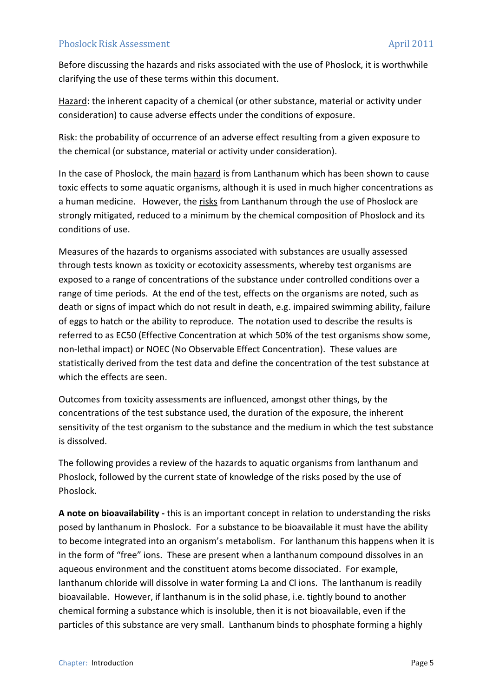Before discussing the hazards and risks associated with the use of Phoslock, it is worthwhile clarifying the use of these terms within this document.

Hazard: the inherent capacity of a chemical (or other substance, material or activity under consideration) to cause adverse effects under the conditions of exposure.

Risk: the probability of occurrence of an adverse effect resulting from a given exposure to the chemical (or substance, material or activity under consideration).

In the case of Phoslock, the main hazard is from Lanthanum which has been shown to cause toxic effects to some aquatic organisms, although it is used in much higher concentrations as a human medicine. However, the risks from Lanthanum through the use of Phoslock are strongly mitigated, reduced to a minimum by the chemical composition of Phoslock and its conditions of use.

Measures of the hazards to organisms associated with substances are usually assessed through tests known as toxicity or ecotoxicity assessments, whereby test organisms are exposed to a range of concentrations of the substance under controlled conditions over a range of time periods. At the end of the test, effects on the organisms are noted, such as death or signs of impact which do not result in death, e.g. impaired swimming ability, failure of eggs to hatch or the ability to reproduce. The notation used to describe the results is referred to as EC50 (Effective Concentration at which 50% of the test organisms show some, non-lethal impact) or NOEC (No Observable Effect Concentration). These values are statistically derived from the test data and define the concentration of the test substance at which the effects are seen.

Outcomes from toxicity assessments are influenced, amongst other things, by the concentrations of the test substance used, the duration of the exposure, the inherent sensitivity of the test organism to the substance and the medium in which the test substance is dissolved.

The following provides a review of the hazards to aquatic organisms from lanthanum and Phoslock, followed by the current state of knowledge of the risks posed by the use of Phoslock.

**A note on bioavailability -** this is an important concept in relation to understanding the risks posed by lanthanum in Phoslock. For a substance to be bioavailable it must have the ability to become integrated into an organism's metabolism. For lanthanum this happens when it is in the form of "free" ions. These are present when a lanthanum compound dissolves in an aqueous environment and the constituent atoms become dissociated. For example, lanthanum chloride will dissolve in water forming La and Cl ions. The lanthanum is readily bioavailable. However, if lanthanum is in the solid phase, i.e. tightly bound to another chemical forming a substance which is insoluble, then it is not bioavailable, even if the particles of this substance are very small. Lanthanum binds to phosphate forming a highly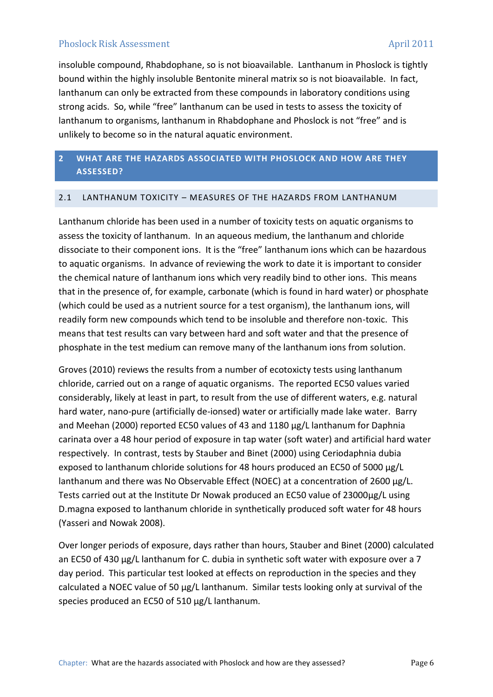insoluble compound, Rhabdophane, so is not bioavailable. Lanthanum in Phoslock is tightly bound within the highly insoluble Bentonite mineral matrix so is not bioavailable. In fact, lanthanum can only be extracted from these compounds in laboratory conditions using strong acids. So, while "free" lanthanum can be used in tests to assess the toxicity of lanthanum to organisms, lanthanum in Rhabdophane and Phoslock is not "free" and is unlikely to become so in the natural aquatic environment.

# <span id="page-5-0"></span>**2 WHAT ARE THE HAZARDS ASSOCIATED WITH PHOSLOCK AND HOW ARE THEY ASSESSED?**

#### <span id="page-5-1"></span>2.1 LANTHANUM TOXICITY – MEASURES OF THE HAZARDS FROM LANTHANUM

Lanthanum chloride has been used in a number of toxicity tests on aquatic organisms to assess the toxicity of lanthanum. In an aqueous medium, the lanthanum and chloride dissociate to their component ions. It is the "free" lanthanum ions which can be hazardous to aquatic organisms. In advance of reviewing the work to date it is important to consider the chemical nature of lanthanum ions which very readily bind to other ions. This means that in the presence of, for example, carbonate (which is found in hard water) or phosphate (which could be used as a nutrient source for a test organism), the lanthanum ions, will readily form new compounds which tend to be insoluble and therefore non-toxic. This means that test results can vary between hard and soft water and that the presence of phosphate in the test medium can remove many of the lanthanum ions from solution.

Groves (2010) reviews the results from a number of ecotoxicty tests using lanthanum chloride, carried out on a range of aquatic organisms. The reported EC50 values varied considerably, likely at least in part, to result from the use of different waters, e.g. natural hard water, nano-pure (artificially de-ionsed) water or artificially made lake water. Barry and Meehan (2000) reported EC50 values of 43 and 1180 µg/L lanthanum for Daphnia carinata over a 48 hour period of exposure in tap water (soft water) and artificial hard water respectively. In contrast, tests by Stauber and Binet (2000) using Ceriodaphnia dubia exposed to lanthanum chloride solutions for 48 hours produced an EC50 of 5000 µg/L lanthanum and there was No Observable Effect (NOEC) at a concentration of 2600 µg/L. Tests carried out at the Institute Dr Nowak produced an EC50 value of 23000µg/L using D.magna exposed to lanthanum chloride in synthetically produced soft water for 48 hours (Yasseri and Nowak 2008).

Over longer periods of exposure, days rather than hours, Stauber and Binet (2000) calculated an EC50 of 430 µg/L lanthanum for C. dubia in synthetic soft water with exposure over a 7 day period. This particular test looked at effects on reproduction in the species and they calculated a NOEC value of 50 µg/L lanthanum. Similar tests looking only at survival of the species produced an EC50 of 510 µg/L lanthanum.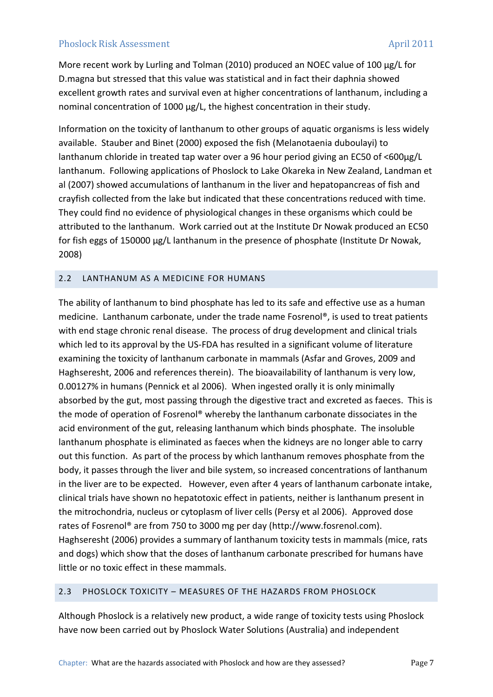More recent work by Lurling and Tolman (2010) produced an NOEC value of 100 µg/L for D.magna but stressed that this value was statistical and in fact their daphnia showed excellent growth rates and survival even at higher concentrations of lanthanum, including a nominal concentration of 1000 µg/L, the highest concentration in their study.

Information on the toxicity of lanthanum to other groups of aquatic organisms is less widely available. Stauber and Binet (2000) exposed the fish (Melanotaenia duboulayi) to lanthanum chloride in treated tap water over a 96 hour period giving an EC50 of <600µg/L lanthanum. Following applications of Phoslock to Lake Okareka in New Zealand, Landman et al (2007) showed accumulations of lanthanum in the liver and hepatopancreas of fish and crayfish collected from the lake but indicated that these concentrations reduced with time. They could find no evidence of physiological changes in these organisms which could be attributed to the lanthanum. Work carried out at the Institute Dr Nowak produced an EC50 for fish eggs of 150000 µg/L lanthanum in the presence of phosphate (Institute Dr Nowak, 2008)

# <span id="page-6-0"></span>2.2 LANTHANUM AS A MEDICINE FOR HUMANS

The ability of lanthanum to bind phosphate has led to its safe and effective use as a human medicine. Lanthanum carbonate, under the trade name Fosrenol®, is used to treat patients with end stage chronic renal disease. The process of drug development and clinical trials which led to its approval by the US-FDA has resulted in a significant volume of literature examining the toxicity of lanthanum carbonate in mammals (Asfar and Groves, 2009 and Haghseresht, 2006 and references therein). The bioavailability of lanthanum is very low, 0.00127% in humans (Pennick et al 2006). When ingested orally it is only minimally absorbed by the gut, most passing through the digestive tract and excreted as faeces. This is the mode of operation of Fosrenol® whereby the lanthanum carbonate dissociates in the acid environment of the gut, releasing lanthanum which binds phosphate. The insoluble lanthanum phosphate is eliminated as faeces when the kidneys are no longer able to carry out this function. As part of the process by which lanthanum removes phosphate from the body, it passes through the liver and bile system, so increased concentrations of lanthanum in the liver are to be expected. However, even after 4 years of lanthanum carbonate intake, clinical trials have shown no hepatotoxic effect in patients, neither is lanthanum present in the mitrochondria, nucleus or cytoplasm of liver cells (Persy et al 2006). Approved dose rates of Fosrenol® are from 750 to 3000 mg per day (http://www.fosrenol.com). Haghseresht (2006) provides a summary of lanthanum toxicity tests in mammals (mice, rats and dogs) which show that the doses of lanthanum carbonate prescribed for humans have little or no toxic effect in these mammals.

## <span id="page-6-1"></span>2.3 PHOSLOCK TOXICITY – MEASURES OF THE HAZARDS FROM PHOSLOCK

Although Phoslock is a relatively new product, a wide range of toxicity tests using Phoslock have now been carried out by Phoslock Water Solutions (Australia) and independent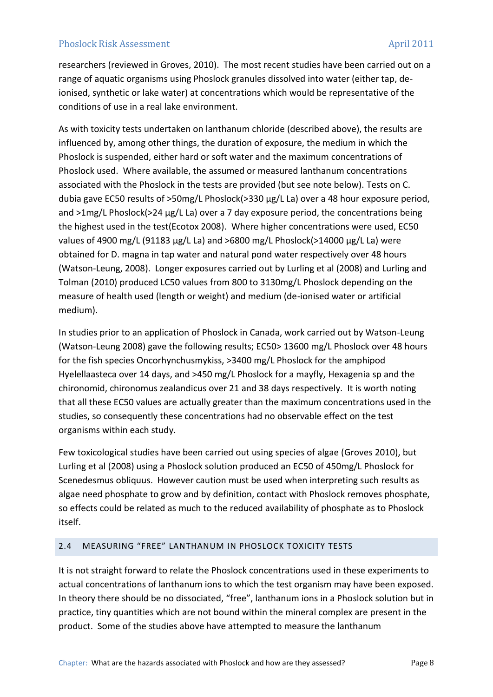researchers (reviewed in Groves, 2010). The most recent studies have been carried out on a range of aquatic organisms using Phoslock granules dissolved into water (either tap, deionised, synthetic or lake water) at concentrations which would be representative of the conditions of use in a real lake environment.

As with toxicity tests undertaken on lanthanum chloride (described above), the results are influenced by, among other things, the duration of exposure, the medium in which the Phoslock is suspended, either hard or soft water and the maximum concentrations of Phoslock used. Where available, the assumed or measured lanthanum concentrations associated with the Phoslock in the tests are provided (but see note below). Tests on C. dubia gave EC50 results of >50mg/L Phoslock(>330 µg/L La) over a 48 hour exposure period, and >1mg/L Phoslock(>24 µg/L La) over a 7 day exposure period, the concentrations being the highest used in the test(Ecotox 2008). Where higher concentrations were used, EC50 values of 4900 mg/L (91183 µg/L La) and >6800 mg/L Phoslock(>14000 µg/L La) were obtained for D. magna in tap water and natural pond water respectively over 48 hours (Watson-Leung, 2008). Longer exposures carried out by Lurling et al (2008) and Lurling and Tolman (2010) produced LC50 values from 800 to 3130mg/L Phoslock depending on the measure of health used (length or weight) and medium (de-ionised water or artificial medium).

In studies prior to an application of Phoslock in Canada, work carried out by Watson-Leung (Watson-Leung 2008) gave the following results; EC50> 13600 mg/L Phoslock over 48 hours for the fish species Oncorhynchusmykiss, >3400 mg/L Phoslock for the amphipod Hyelellaasteca over 14 days, and >450 mg/L Phoslock for a mayfly, Hexagenia sp and the chironomid, chironomus zealandicus over 21 and 38 days respectively. It is worth noting that all these EC50 values are actually greater than the maximum concentrations used in the studies, so consequently these concentrations had no observable effect on the test organisms within each study.

Few toxicological studies have been carried out using species of algae (Groves 2010), but Lurling et al (2008) using a Phoslock solution produced an EC50 of 450mg/L Phoslock for Scenedesmus obliquus. However caution must be used when interpreting such results as algae need phosphate to grow and by definition, contact with Phoslock removes phosphate, so effects could be related as much to the reduced availability of phosphate as to Phoslock itself.

## <span id="page-7-0"></span>2.4 MEASURING "FREE" LANTHANUM IN PHOSLOCK TOXICITY TESTS

It is not straight forward to relate the Phoslock concentrations used in these experiments to actual concentrations of lanthanum ions to which the test organism may have been exposed. In theory there should be no dissociated, "free", lanthanum ions in a Phoslock solution but in practice, tiny quantities which are not bound within the mineral complex are present in the product. Some of the studies above have attempted to measure the lanthanum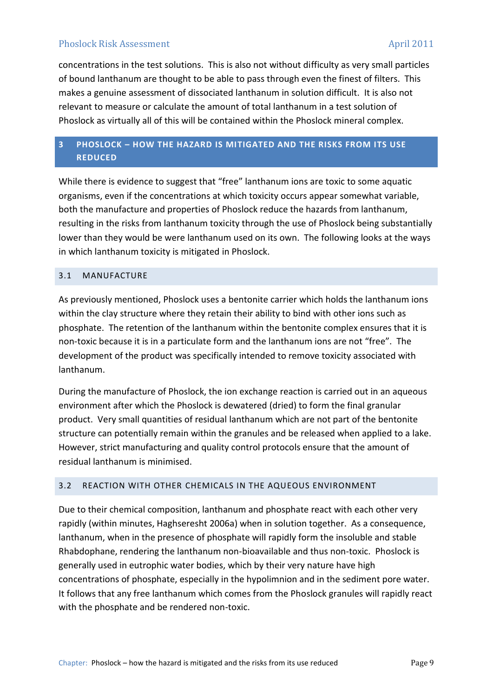concentrations in the test solutions. This is also not without difficulty as very small particles of bound lanthanum are thought to be able to pass through even the finest of filters. This makes a genuine assessment of dissociated lanthanum in solution difficult. It is also not relevant to measure or calculate the amount of total lanthanum in a test solution of Phoslock as virtually all of this will be contained within the Phoslock mineral complex.

# <span id="page-8-0"></span>**3 PHOSLOCK – HOW THE HAZARD IS MITIGATED AND THE RISKS FROM ITS USE REDUCED**

While there is evidence to suggest that "free" lanthanum ions are toxic to some aquatic organisms, even if the concentrations at which toxicity occurs appear somewhat variable, both the manufacture and properties of Phoslock reduce the hazards from lanthanum, resulting in the risks from lanthanum toxicity through the use of Phoslock being substantially lower than they would be were lanthanum used on its own. The following looks at the ways in which lanthanum toxicity is mitigated in Phoslock.

# <span id="page-8-1"></span>3.1 MANUFACTURE

As previously mentioned, Phoslock uses a bentonite carrier which holds the lanthanum ions within the clay structure where they retain their ability to bind with other ions such as phosphate. The retention of the lanthanum within the bentonite complex ensures that it is non-toxic because it is in a particulate form and the lanthanum ions are not "free". The development of the product was specifically intended to remove toxicity associated with lanthanum.

During the manufacture of Phoslock, the ion exchange reaction is carried out in an aqueous environment after which the Phoslock is dewatered (dried) to form the final granular product. Very small quantities of residual lanthanum which are not part of the bentonite structure can potentially remain within the granules and be released when applied to a lake. However, strict manufacturing and quality control protocols ensure that the amount of residual lanthanum is minimised.

## <span id="page-8-2"></span>3.2 REACTION WITH OTHER CHEMICALS IN THE AQUEOUS ENVIRONMENT

Due to their chemical composition, lanthanum and phosphate react with each other very rapidly (within minutes, Haghseresht 2006a) when in solution together. As a consequence, lanthanum, when in the presence of phosphate will rapidly form the insoluble and stable Rhabdophane, rendering the lanthanum non-bioavailable and thus non-toxic. Phoslock is generally used in eutrophic water bodies, which by their very nature have high concentrations of phosphate, especially in the hypolimnion and in the sediment pore water. It follows that any free lanthanum which comes from the Phoslock granules will rapidly react with the phosphate and be rendered non-toxic.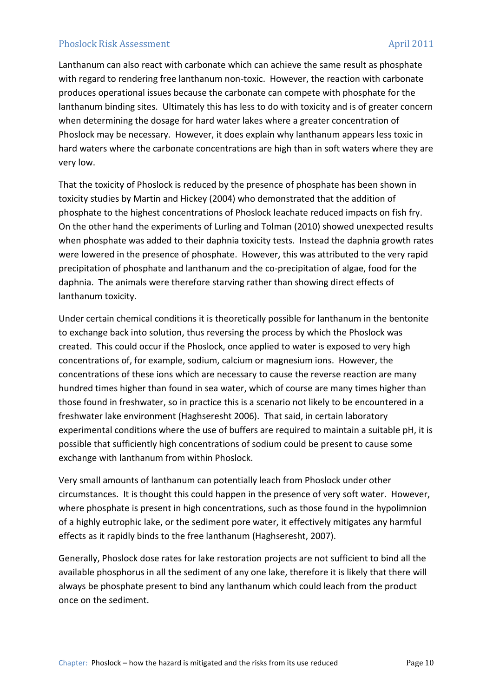Lanthanum can also react with carbonate which can achieve the same result as phosphate with regard to rendering free lanthanum non-toxic. However, the reaction with carbonate produces operational issues because the carbonate can compete with phosphate for the lanthanum binding sites. Ultimately this has less to do with toxicity and is of greater concern when determining the dosage for hard water lakes where a greater concentration of Phoslock may be necessary. However, it does explain why lanthanum appears less toxic in hard waters where the carbonate concentrations are high than in soft waters where they are very low.

That the toxicity of Phoslock is reduced by the presence of phosphate has been shown in toxicity studies by Martin and Hickey (2004) who demonstrated that the addition of phosphate to the highest concentrations of Phoslock leachate reduced impacts on fish fry. On the other hand the experiments of Lurling and Tolman (2010) showed unexpected results when phosphate was added to their daphnia toxicity tests. Instead the daphnia growth rates were lowered in the presence of phosphate. However, this was attributed to the very rapid precipitation of phosphate and lanthanum and the co-precipitation of algae, food for the daphnia. The animals were therefore starving rather than showing direct effects of lanthanum toxicity.

Under certain chemical conditions it is theoretically possible for lanthanum in the bentonite to exchange back into solution, thus reversing the process by which the Phoslock was created. This could occur if the Phoslock, once applied to water is exposed to very high concentrations of, for example, sodium, calcium or magnesium ions. However, the concentrations of these ions which are necessary to cause the reverse reaction are many hundred times higher than found in sea water, which of course are many times higher than those found in freshwater, so in practice this is a scenario not likely to be encountered in a freshwater lake environment (Haghseresht 2006). That said, in certain laboratory experimental conditions where the use of buffers are required to maintain a suitable pH, it is possible that sufficiently high concentrations of sodium could be present to cause some exchange with lanthanum from within Phoslock.

Very small amounts of lanthanum can potentially leach from Phoslock under other circumstances. It is thought this could happen in the presence of very soft water. However, where phosphate is present in high concentrations, such as those found in the hypolimnion of a highly eutrophic lake, or the sediment pore water, it effectively mitigates any harmful effects as it rapidly binds to the free lanthanum (Haghseresht, 2007).

Generally, Phoslock dose rates for lake restoration projects are not sufficient to bind all the available phosphorus in all the sediment of any one lake, therefore it is likely that there will always be phosphate present to bind any lanthanum which could leach from the product once on the sediment.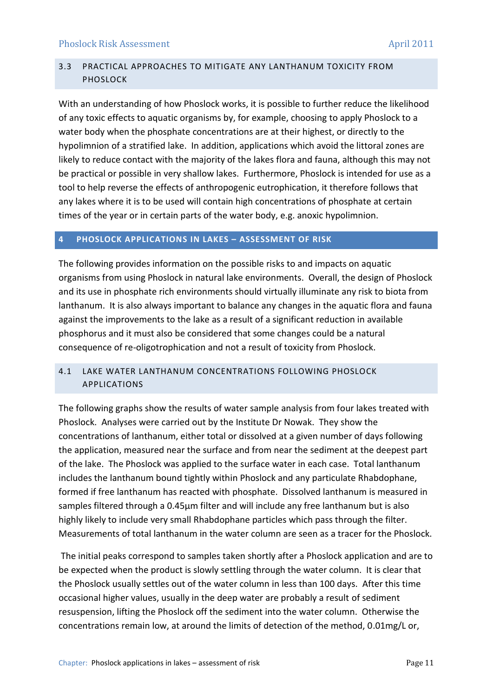# <span id="page-10-0"></span>3.3 PRACTICAL APPROACHES TO MITIGATE ANY LANTHANUM TOXICITY FROM PHOSLOCK

With an understanding of how Phoslock works, it is possible to further reduce the likelihood of any toxic effects to aquatic organisms by, for example, choosing to apply Phoslock to a water body when the phosphate concentrations are at their highest, or directly to the hypolimnion of a stratified lake. In addition, applications which avoid the littoral zones are likely to reduce contact with the majority of the lakes flora and fauna, although this may not be practical or possible in very shallow lakes. Furthermore, Phoslock is intended for use as a tool to help reverse the effects of anthropogenic eutrophication, it therefore follows that any lakes where it is to be used will contain high concentrations of phosphate at certain times of the year or in certain parts of the water body, e.g. anoxic hypolimnion.

# <span id="page-10-1"></span>**4 PHOSLOCK APPLICATIONS IN LAKES – ASSESSMENT OF RISK**

The following provides information on the possible risks to and impacts on aquatic organisms from using Phoslock in natural lake environments. Overall, the design of Phoslock and its use in phosphate rich environments should virtually illuminate any risk to biota from lanthanum. It is also always important to balance any changes in the aquatic flora and fauna against the improvements to the lake as a result of a significant reduction in available phosphorus and it must also be considered that some changes could be a natural consequence of re-oligotrophication and not a result of toxicity from Phoslock.

# <span id="page-10-2"></span>4.1 LAKE WATER LANTHANUM CONCENTRATIONS FOLLOWING PHOSLOCK APPLICATIONS

The following graphs show the results of water sample analysis from four lakes treated with Phoslock. Analyses were carried out by the Institute Dr Nowak. They show the concentrations of lanthanum, either total or dissolved at a given number of days following the application, measured near the surface and from near the sediment at the deepest part of the lake. The Phoslock was applied to the surface water in each case. Total lanthanum includes the lanthanum bound tightly within Phoslock and any particulate Rhabdophane, formed if free lanthanum has reacted with phosphate. Dissolved lanthanum is measured in samples filtered through a 0.45µm filter and will include any free lanthanum but is also highly likely to include very small Rhabdophane particles which pass through the filter. Measurements of total lanthanum in the water column are seen as a tracer for the Phoslock.

The initial peaks correspond to samples taken shortly after a Phoslock application and are to be expected when the product is slowly settling through the water column. It is clear that the Phoslock usually settles out of the water column in less than 100 days. After this time occasional higher values, usually in the deep water are probably a result of sediment resuspension, lifting the Phoslock off the sediment into the water column. Otherwise the concentrations remain low, at around the limits of detection of the method, 0.01mg/L or,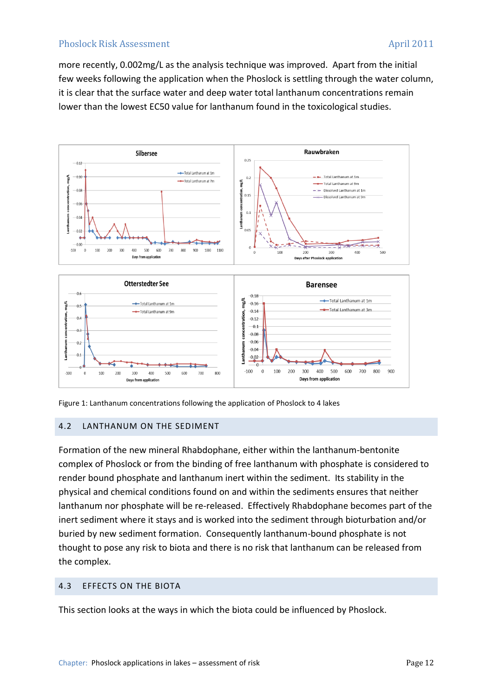more recently, 0.002mg/L as the analysis technique was improved. Apart from the initial few weeks following the application when the Phoslock is settling through the water column, it is clear that the surface water and deep water total lanthanum concentrations remain lower than the lowest EC50 value for lanthanum found in the toxicological studies.



Figure 1: Lanthanum concentrations following the application of Phoslock to 4 lakes

## <span id="page-11-0"></span>4.2 LANTHANUM ON THE SEDIMENT

Formation of the new mineral Rhabdophane, either within the lanthanum-bentonite complex of Phoslock or from the binding of free lanthanum with phosphate is considered to render bound phosphate and lanthanum inert within the sediment. Its stability in the physical and chemical conditions found on and within the sediments ensures that neither lanthanum nor phosphate will be re-released. Effectively Rhabdophane becomes part of the inert sediment where it stays and is worked into the sediment through bioturbation and/or buried by new sediment formation. Consequently lanthanum-bound phosphate is not thought to pose any risk to biota and there is no risk that lanthanum can be released from the complex.

## <span id="page-11-1"></span>4.3 EFFECTS ON THE BIOTA

This section looks at the ways in which the biota could be influenced by Phoslock.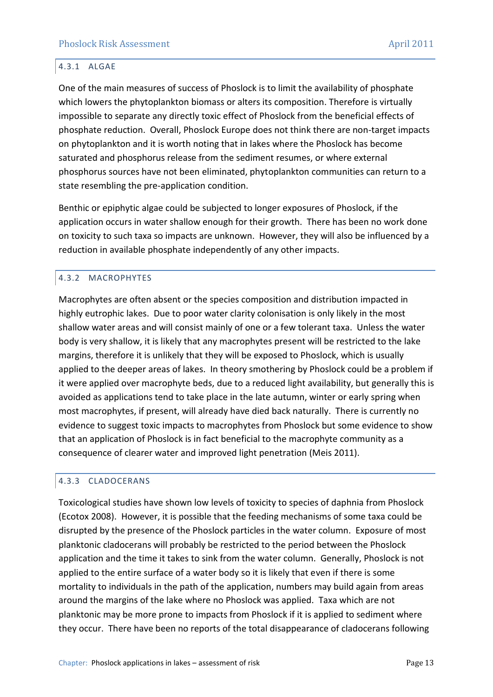## <span id="page-12-0"></span>4.3.1 ALGAE

One of the main measures of success of Phoslock is to limit the availability of phosphate which lowers the phytoplankton biomass or alters its composition. Therefore is virtually impossible to separate any directly toxic effect of Phoslock from the beneficial effects of phosphate reduction. Overall, Phoslock Europe does not think there are non-target impacts on phytoplankton and it is worth noting that in lakes where the Phoslock has become saturated and phosphorus release from the sediment resumes, or where external phosphorus sources have not been eliminated, phytoplankton communities can return to a state resembling the pre-application condition.

Benthic or epiphytic algae could be subjected to longer exposures of Phoslock, if the application occurs in water shallow enough for their growth. There has been no work done on toxicity to such taxa so impacts are unknown. However, they will also be influenced by a reduction in available phosphate independently of any other impacts.

# <span id="page-12-1"></span>4.3.2 MACROPHYTES

Macrophytes are often absent or the species composition and distribution impacted in highly eutrophic lakes. Due to poor water clarity colonisation is only likely in the most shallow water areas and will consist mainly of one or a few tolerant taxa. Unless the water body is very shallow, it is likely that any macrophytes present will be restricted to the lake margins, therefore it is unlikely that they will be exposed to Phoslock, which is usually applied to the deeper areas of lakes. In theory smothering by Phoslock could be a problem if it were applied over macrophyte beds, due to a reduced light availability, but generally this is avoided as applications tend to take place in the late autumn, winter or early spring when most macrophytes, if present, will already have died back naturally. There is currently no evidence to suggest toxic impacts to macrophytes from Phoslock but some evidence to show that an application of Phoslock is in fact beneficial to the macrophyte community as a consequence of clearer water and improved light penetration (Meis 2011).

## <span id="page-12-2"></span>4.3.3 CLADOCERANS

Toxicological studies have shown low levels of toxicity to species of daphnia from Phoslock (Ecotox 2008). However, it is possible that the feeding mechanisms of some taxa could be disrupted by the presence of the Phoslock particles in the water column. Exposure of most planktonic cladocerans will probably be restricted to the period between the Phoslock application and the time it takes to sink from the water column. Generally, Phoslock is not applied to the entire surface of a water body so it is likely that even if there is some mortality to individuals in the path of the application, numbers may build again from areas around the margins of the lake where no Phoslock was applied. Taxa which are not planktonic may be more prone to impacts from Phoslock if it is applied to sediment where they occur. There have been no reports of the total disappearance of cladocerans following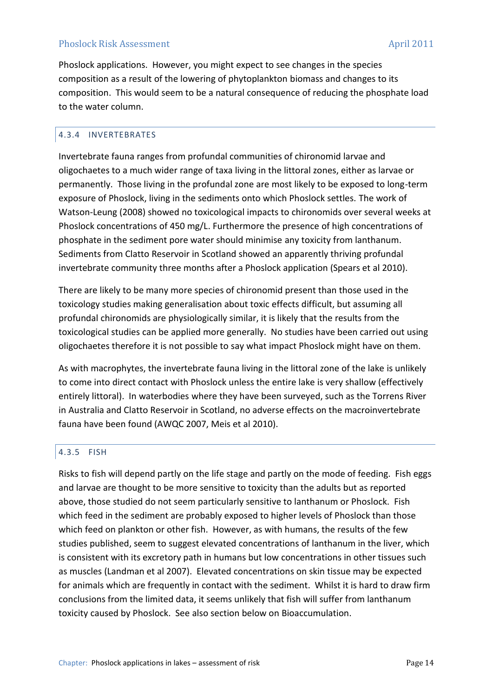Phoslock applications. However, you might expect to see changes in the species composition as a result of the lowering of phytoplankton biomass and changes to its composition. This would seem to be a natural consequence of reducing the phosphate load to the water column.

# <span id="page-13-0"></span>4.3.4 INVERTEBRATES

Invertebrate fauna ranges from profundal communities of chironomid larvae and oligochaetes to a much wider range of taxa living in the littoral zones, either as larvae or permanently. Those living in the profundal zone are most likely to be exposed to long-term exposure of Phoslock, living in the sediments onto which Phoslock settles. The work of Watson-Leung (2008) showed no toxicological impacts to chironomids over several weeks at Phoslock concentrations of 450 mg/L. Furthermore the presence of high concentrations of phosphate in the sediment pore water should minimise any toxicity from lanthanum. Sediments from Clatto Reservoir in Scotland showed an apparently thriving profundal invertebrate community three months after a Phoslock application (Spears et al 2010).

There are likely to be many more species of chironomid present than those used in the toxicology studies making generalisation about toxic effects difficult, but assuming all profundal chironomids are physiologically similar, it is likely that the results from the toxicological studies can be applied more generally. No studies have been carried out using oligochaetes therefore it is not possible to say what impact Phoslock might have on them.

As with macrophytes, the invertebrate fauna living in the littoral zone of the lake is unlikely to come into direct contact with Phoslock unless the entire lake is very shallow (effectively entirely littoral). In waterbodies where they have been surveyed, such as the Torrens River in Australia and Clatto Reservoir in Scotland, no adverse effects on the macroinvertebrate fauna have been found (AWQC 2007, Meis et al 2010).

## <span id="page-13-1"></span>4.3.5 FISH

Risks to fish will depend partly on the life stage and partly on the mode of feeding. Fish eggs and larvae are thought to be more sensitive to toxicity than the adults but as reported above, those studied do not seem particularly sensitive to lanthanum or Phoslock. Fish which feed in the sediment are probably exposed to higher levels of Phoslock than those which feed on plankton or other fish. However, as with humans, the results of the few studies published, seem to suggest elevated concentrations of lanthanum in the liver, which is consistent with its excretory path in humans but low concentrations in other tissues such as muscles (Landman et al 2007). Elevated concentrations on skin tissue may be expected for animals which are frequently in contact with the sediment. Whilst it is hard to draw firm conclusions from the limited data, it seems unlikely that fish will suffer from lanthanum toxicity caused by Phoslock. See also section below on Bioaccumulation.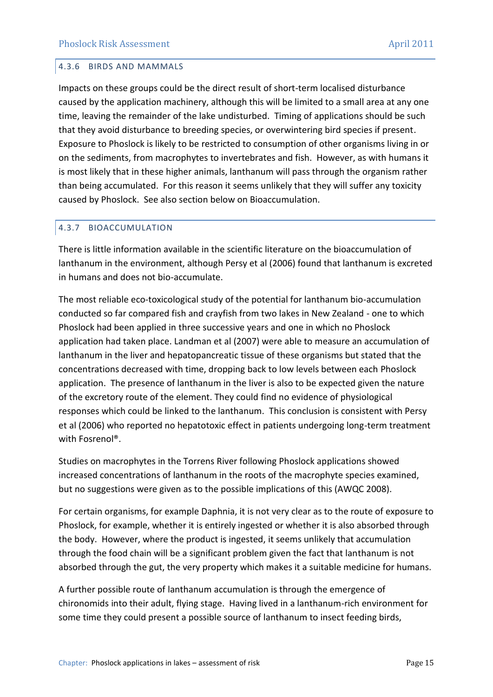#### <span id="page-14-0"></span>4.3.6 BIRDS AND MAMMALS

Impacts on these groups could be the direct result of short-term localised disturbance caused by the application machinery, although this will be limited to a small area at any one time, leaving the remainder of the lake undisturbed. Timing of applications should be such that they avoid disturbance to breeding species, or overwintering bird species if present. Exposure to Phoslock is likely to be restricted to consumption of other organisms living in or on the sediments, from macrophytes to invertebrates and fish. However, as with humans it is most likely that in these higher animals, lanthanum will pass through the organism rather than being accumulated. For this reason it seems unlikely that they will suffer any toxicity caused by Phoslock. See also section below on Bioaccumulation.

## <span id="page-14-1"></span>4.3.7 BIOACCUMULATION

There is little information available in the scientific literature on the bioaccumulation of lanthanum in the environment, although Persy et al (2006) found that lanthanum is excreted in humans and does not bio-accumulate.

The most reliable eco-toxicological study of the potential for lanthanum bio-accumulation conducted so far compared fish and crayfish from two lakes in New Zealand - one to which Phoslock had been applied in three successive years and one in which no Phoslock application had taken place. Landman et al (2007) were able to measure an accumulation of lanthanum in the liver and hepatopancreatic tissue of these organisms but stated that the concentrations decreased with time, dropping back to low levels between each Phoslock application. The presence of lanthanum in the liver is also to be expected given the nature of the excretory route of the element. They could find no evidence of physiological responses which could be linked to the lanthanum. This conclusion is consistent with Persy et al (2006) who reported no hepatotoxic effect in patients undergoing long-term treatment with Fosrenol®.

Studies on macrophytes in the Torrens River following Phoslock applications showed increased concentrations of lanthanum in the roots of the macrophyte species examined, but no suggestions were given as to the possible implications of this (AWQC 2008).

For certain organisms, for example Daphnia, it is not very clear as to the route of exposure to Phoslock, for example, whether it is entirely ingested or whether it is also absorbed through the body. However, where the product is ingested, it seems unlikely that accumulation through the food chain will be a significant problem given the fact that lanthanum is not absorbed through the gut, the very property which makes it a suitable medicine for humans.

A further possible route of lanthanum accumulation is through the emergence of chironomids into their adult, flying stage. Having lived in a lanthanum-rich environment for some time they could present a possible source of lanthanum to insect feeding birds,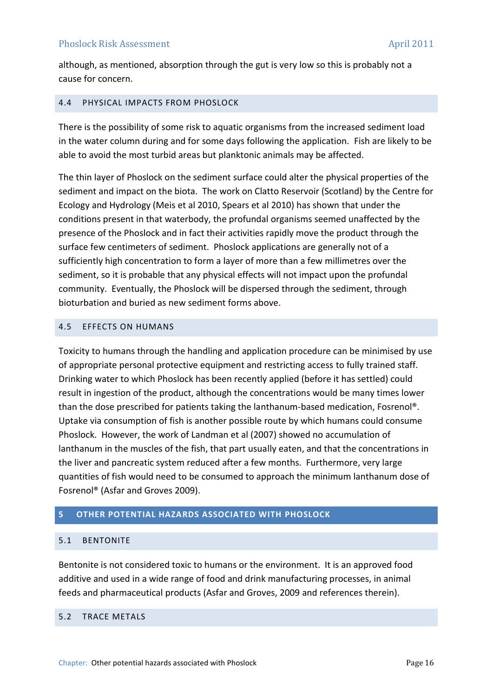although, as mentioned, absorption through the gut is very low so this is probably not a cause for concern.

# <span id="page-15-0"></span>4.4 PHYSICAL IMPACTS FROM PHOSLOCK

There is the possibility of some risk to aquatic organisms from the increased sediment load in the water column during and for some days following the application. Fish are likely to be able to avoid the most turbid areas but planktonic animals may be affected.

The thin layer of Phoslock on the sediment surface could alter the physical properties of the sediment and impact on the biota. The work on Clatto Reservoir (Scotland) by the Centre for Ecology and Hydrology (Meis et al 2010, Spears et al 2010) has shown that under the conditions present in that waterbody, the profundal organisms seemed unaffected by the presence of the Phoslock and in fact their activities rapidly move the product through the surface few centimeters of sediment. Phoslock applications are generally not of a sufficiently high concentration to form a layer of more than a few millimetres over the sediment, so it is probable that any physical effects will not impact upon the profundal community. Eventually, the Phoslock will be dispersed through the sediment, through bioturbation and buried as new sediment forms above.

## <span id="page-15-1"></span>4.5 EFFECTS ON HUMANS

Toxicity to humans through the handling and application procedure can be minimised by use of appropriate personal protective equipment and restricting access to fully trained staff. Drinking water to which Phoslock has been recently applied (before it has settled) could result in ingestion of the product, although the concentrations would be many times lower than the dose prescribed for patients taking the lanthanum-based medication, Fosrenol®. Uptake via consumption of fish is another possible route by which humans could consume Phoslock. However, the work of Landman et al (2007) showed no accumulation of lanthanum in the muscles of the fish, that part usually eaten, and that the concentrations in the liver and pancreatic system reduced after a few months. Furthermore, very large quantities of fish would need to be consumed to approach the minimum lanthanum dose of Fosrenol® (Asfar and Groves 2009).

# <span id="page-15-2"></span>**5 OTHER POTENTIAL HAZARDS ASSOCIATED WITH PHOSLOCK**

## <span id="page-15-3"></span>5.1 BENTONITE

Bentonite is not considered toxic to humans or the environment. It is an approved food additive and used in a wide range of food and drink manufacturing processes, in animal feeds and pharmaceutical products (Asfar and Groves, 2009 and references therein).

# <span id="page-15-4"></span>5.2 TRACE METALS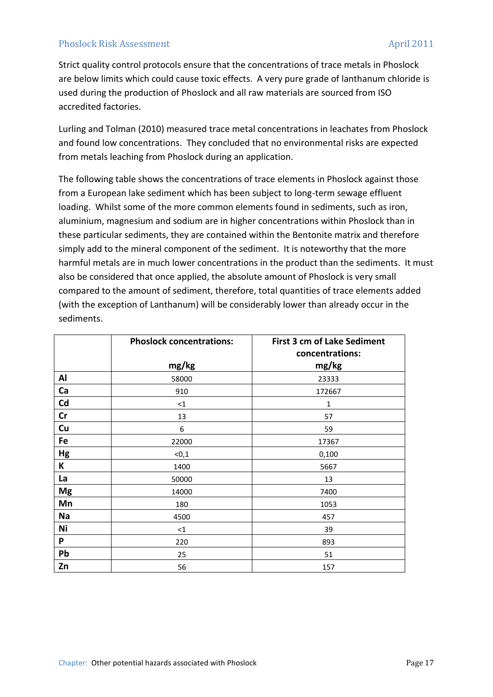Strict quality control protocols ensure that the concentrations of trace metals in Phoslock are below limits which could cause toxic effects. A very pure grade of lanthanum chloride is used during the production of Phoslock and all raw materials are sourced from ISO accredited factories.

Lurling and Tolman (2010) measured trace metal concentrations in leachates from Phoslock and found low concentrations. They concluded that no environmental risks are expected from metals leaching from Phoslock during an application.

The following table shows the concentrations of trace elements in Phoslock against those from a European lake sediment which has been subject to long-term sewage effluent loading. Whilst some of the more common elements found in sediments, such as iron, aluminium, magnesium and sodium are in higher concentrations within Phoslock than in these particular sediments, they are contained within the Bentonite matrix and therefore simply add to the mineral component of the sediment. It is noteworthy that the more harmful metals are in much lower concentrations in the product than the sediments. It must also be considered that once applied, the absolute amount of Phoslock is very small compared to the amount of sediment, therefore, total quantities of trace elements added (with the exception of Lanthanum) will be considerably lower than already occur in the sediments.

|               | <b>Phoslock concentrations:</b> | <b>First 3 cm of Lake Sediment</b><br>concentrations: |
|---------------|---------------------------------|-------------------------------------------------------|
|               | mg/kg                           | mg/kg                                                 |
| Al            | 58000                           | 23333                                                 |
| Ca            | 910                             | 172667                                                |
| Cd            | ${<}1$                          | 1                                                     |
| $\mathsf{Cr}$ | 13                              | 57                                                    |
| Cu            | 6                               | 59                                                    |
| Fe            | 22000                           | 17367                                                 |
| Hg            | < 0, 1                          | 0,100                                                 |
| Κ             | 1400                            | 5667                                                  |
| La            | 50000                           | 13                                                    |
| <b>Mg</b>     | 14000                           | 7400                                                  |
| Mn            | 180                             | 1053                                                  |
| Na            | 4500                            | 457                                                   |
| Ni            | $\leq$ 1                        | 39                                                    |
| P             | 220                             | 893                                                   |
| Pb            | 25                              | 51                                                    |
| Zn            | 56                              | 157                                                   |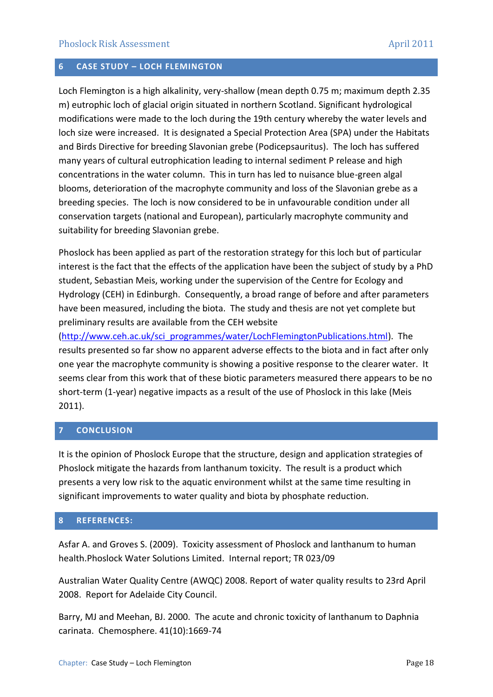# <span id="page-17-0"></span>**6 CASE STUDY – LOCH FLEMINGTON**

Loch Flemington is a high alkalinity, very-shallow (mean depth 0.75 m; maximum depth 2.35 m) eutrophic loch of glacial origin situated in northern Scotland. Significant hydrological modifications were made to the loch during the 19th century whereby the water levels and loch size were increased. It is designated a Special Protection Area (SPA) under the Habitats and Birds Directive for breeding Slavonian grebe (Podicepsauritus). The loch has suffered many years of cultural eutrophication leading to internal sediment P release and high concentrations in the water column. This in turn has led to nuisance blue-green algal blooms, deterioration of the macrophyte community and loss of the Slavonian grebe as a breeding species. The loch is now considered to be in unfavourable condition under all conservation targets (national and European), particularly macrophyte community and suitability for breeding Slavonian grebe.

Phoslock has been applied as part of the restoration strategy for this loch but of particular interest is the fact that the effects of the application have been the subject of study by a PhD student, Sebastian Meis, working under the supervision of the Centre for Ecology and Hydrology (CEH) in Edinburgh. Consequently, a broad range of before and after parameters have been measured, including the biota. The study and thesis are not yet complete but preliminary results are available from the CEH website

[\(http://www.ceh.ac.uk/sci\\_programmes/water/LochFlemingtonPublications.html\)](http://www.ceh.ac.uk/sci_programmes/water/LochFlemingtonPublications.html). The results presented so far show no apparent adverse effects to the biota and in fact after only one year the macrophyte community is showing a positive response to the clearer water. It seems clear from this work that of these biotic parameters measured there appears to be no short-term (1-year) negative impacts as a result of the use of Phoslock in this lake (Meis 2011).

# <span id="page-17-1"></span>**7 CONCLUSION**

It is the opinion of Phoslock Europe that the structure, design and application strategies of Phoslock mitigate the hazards from lanthanum toxicity. The result is a product which presents a very low risk to the aquatic environment whilst at the same time resulting in significant improvements to water quality and biota by phosphate reduction.

## <span id="page-17-2"></span>**8 REFERENCES:**

Asfar A. and Groves S. (2009). Toxicity assessment of Phoslock and lanthanum to human health.Phoslock Water Solutions Limited. Internal report; TR 023/09

Australian Water Quality Centre (AWQC) 2008. Report of water quality results to 23rd April 2008. Report for Adelaide City Council.

Barry, MJ and Meehan, BJ. 2000. The acute and chronic toxicity of lanthanum to Daphnia carinata. Chemosphere. 41(10):1669-74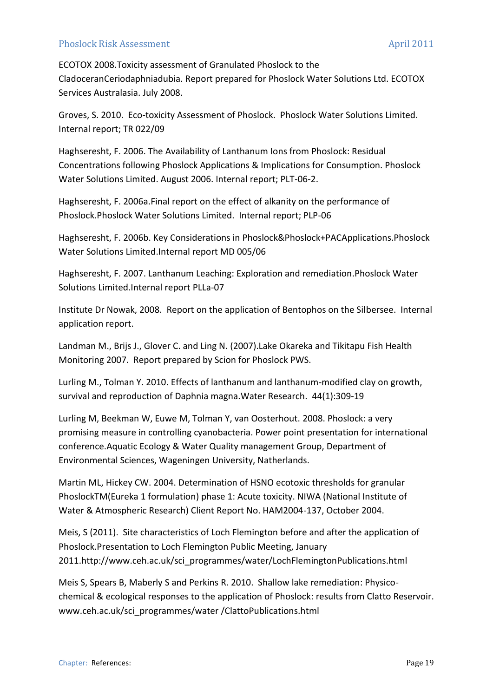ECOTOX 2008.Toxicity assessment of Granulated Phoslock to the CladoceranCeriodaphniadubia. Report prepared for Phoslock Water Solutions Ltd. ECOTOX Services Australasia. July 2008.

Groves, S. 2010. Eco-toxicity Assessment of Phoslock. Phoslock Water Solutions Limited. Internal report; TR 022/09

Haghseresht, F. 2006. The Availability of Lanthanum Ions from Phoslock: Residual Concentrations following Phoslock Applications & Implications for Consumption. Phoslock Water Solutions Limited. August 2006. Internal report; PLT-06-2.

Haghseresht, F. 2006a.Final report on the effect of alkanity on the performance of Phoslock.Phoslock Water Solutions Limited. Internal report; PLP-06

Haghseresht, F. 2006b. Key Considerations in Phoslock&Phoslock+PACApplications.Phoslock Water Solutions Limited.Internal report MD 005/06

Haghseresht, F. 2007. Lanthanum Leaching: Exploration and remediation.Phoslock Water Solutions Limited.Internal report PLLa-07

Institute Dr Nowak, 2008. Report on the application of Bentophos on the Silbersee. Internal application report.

Landman M., Brijs J., Glover C. and Ling N. (2007).Lake Okareka and Tikitapu Fish Health Monitoring 2007. Report prepared by Scion for Phoslock PWS.

Lurling M., Tolman Y. 2010. Effects of lanthanum and lanthanum-modified clay on growth, survival and reproduction of Daphnia magna.Water Research. 44(1):309-19

Lurling M, Beekman W, Euwe M, Tolman Y, van Oosterhout. 2008. Phoslock: a very promising measure in controlling cyanobacteria. Power point presentation for international conference.Aquatic Ecology & Water Quality management Group, Department of Environmental Sciences, Wageningen University, Natherlands.

Martin ML, Hickey CW. 2004. Determination of HSNO ecotoxic thresholds for granular PhoslockTM(Eureka 1 formulation) phase 1: Acute toxicity. NIWA (National Institute of Water & Atmospheric Research) Client Report No. HAM2004-137, October 2004.

Meis, S (2011). Site characteristics of Loch Flemington before and after the application of Phoslock.Presentation to Loch Flemington Public Meeting, January 2011.http://www.ceh.ac.uk/sci\_programmes/water/LochFlemingtonPublications.html

Meis S, Spears B, Maberly S and Perkins R. 2010. Shallow lake remediation: Physicochemical & ecological responses to the application of Phoslock: results from Clatto Reservoir. www.ceh.ac.uk/sci\_programmes/water /ClattoPublications.html